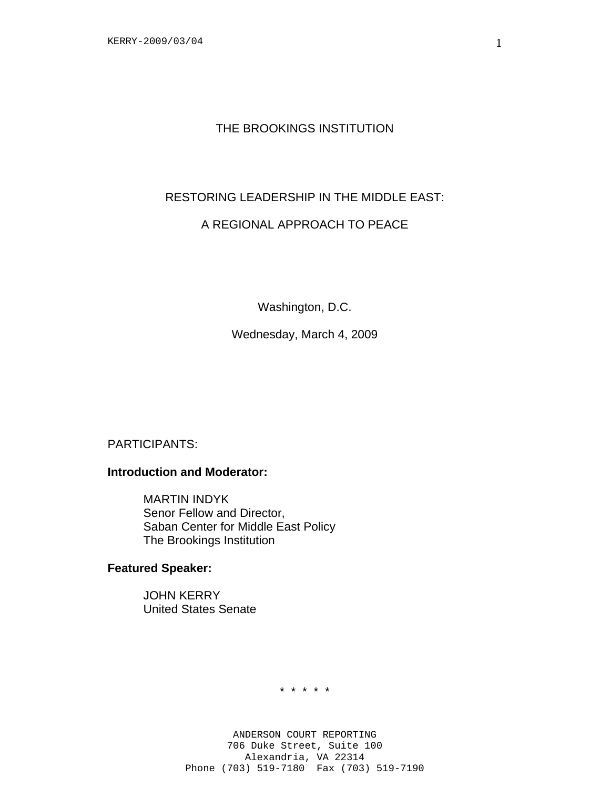## THE BROOKINGS INSTITUTION

### RESTORING LEADERSHIP IN THE MIDDLE EAST:

# A REGIONAL APPROACH TO PEACE

Washington, D.C.

Wednesday, March 4, 2009

PARTICIPANTS:

## **Introduction and Moderator:**

MARTIN INDYK Senor Fellow and Director, Saban Center for Middle East Policy The Brookings Institution

### **Featured Speaker:**

 JOHN KERRY United States Senate

\* \* \* \* \*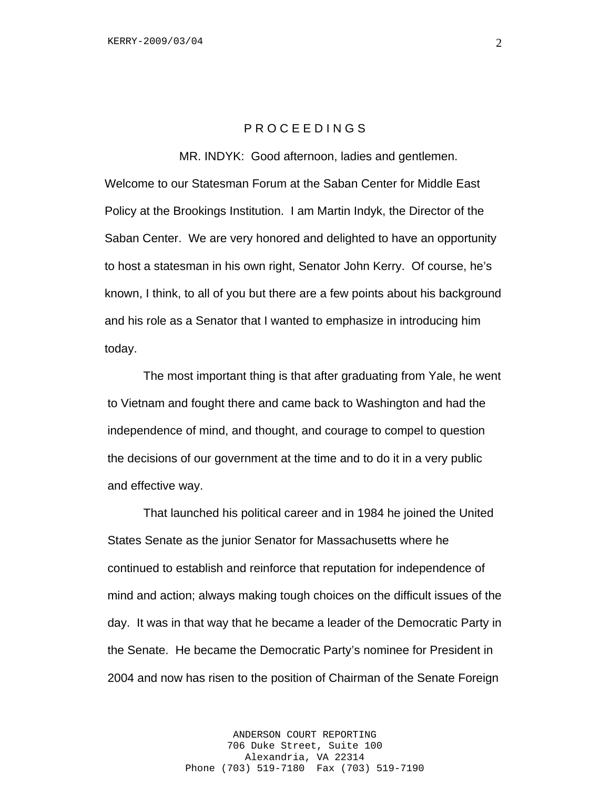### P R O C E E D I N G S

MR. INDYK: Good afternoon, ladies and gentlemen.

Welcome to our Statesman Forum at the Saban Center for Middle East Policy at the Brookings Institution. I am Martin Indyk, the Director of the Saban Center. We are very honored and delighted to have an opportunity to host a statesman in his own right, Senator John Kerry. Of course, he's known, I think, to all of you but there are a few points about his background and his role as a Senator that I wanted to emphasize in introducing him today.

 The most important thing is that after graduating from Yale, he went to Vietnam and fought there and came back to Washington and had the independence of mind, and thought, and courage to compel to question the decisions of our government at the time and to do it in a very public and effective way.

That launched his political career and in 1984 he joined the United States Senate as the junior Senator for Massachusetts where he continued to establish and reinforce that reputation for independence of mind and action; always making tough choices on the difficult issues of the day. It was in that way that he became a leader of the Democratic Party in the Senate. He became the Democratic Party's nominee for President in 2004 and now has risen to the position of Chairman of the Senate Foreign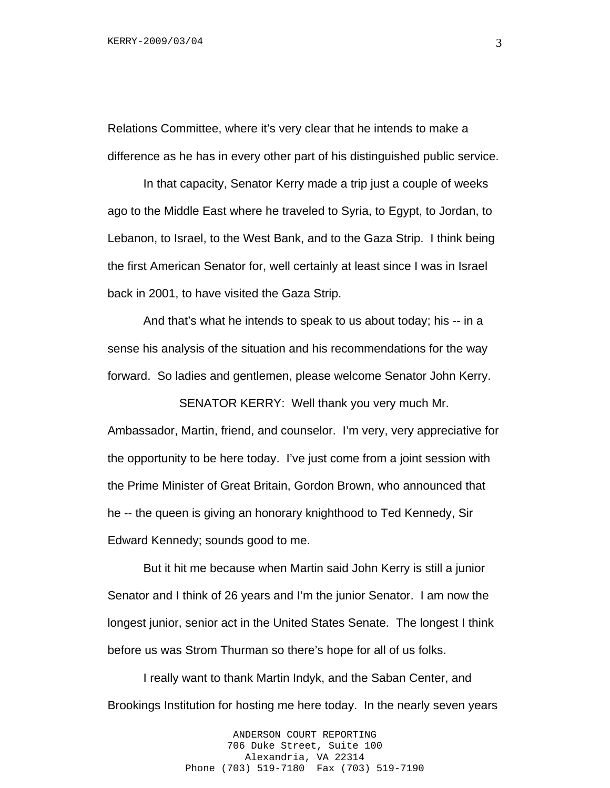Relations Committee, where it's very clear that he intends to make a difference as he has in every other part of his distinguished public service.

In that capacity, Senator Kerry made a trip just a couple of weeks ago to the Middle East where he traveled to Syria, to Egypt, to Jordan, to Lebanon, to Israel, to the West Bank, and to the Gaza Strip. I think being the first American Senator for, well certainly at least since I was in Israel back in 2001, to have visited the Gaza Strip.

And that's what he intends to speak to us about today; his -- in a sense his analysis of the situation and his recommendations for the way forward. So ladies and gentlemen, please welcome Senator John Kerry.

SENATOR KERRY: Well thank you very much Mr.

Ambassador, Martin, friend, and counselor. I'm very, very appreciative for the opportunity to be here today. I've just come from a joint session with the Prime Minister of Great Britain, Gordon Brown, who announced that he -- the queen is giving an honorary knighthood to Ted Kennedy, Sir Edward Kennedy; sounds good to me.

But it hit me because when Martin said John Kerry is still a junior Senator and I think of 26 years and I'm the junior Senator. I am now the longest junior, senior act in the United States Senate. The longest I think before us was Strom Thurman so there's hope for all of us folks.

I really want to thank Martin Indyk, and the Saban Center, and Brookings Institution for hosting me here today. In the nearly seven years

> ANDERSON COURT REPORTING 706 Duke Street, Suite 100 Alexandria, VA 22314 Phone (703) 519-7180 Fax (703) 519-7190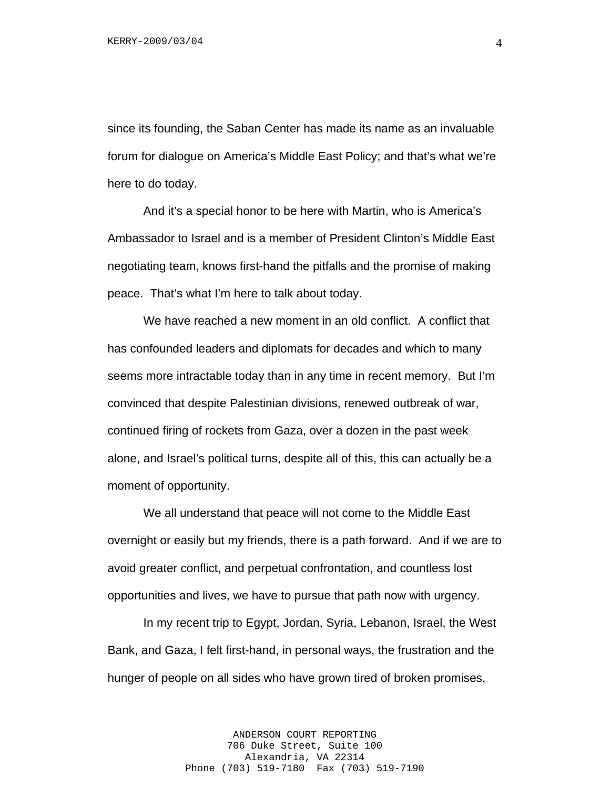since its founding, the Saban Center has made its name as an invaluable forum for dialogue on America's Middle East Policy; and that's what we're here to do today.

And it's a special honor to be here with Martin, who is America's Ambassador to Israel and is a member of President Clinton's Middle East negotiating team, knows first-hand the pitfalls and the promise of making peace. That's what I'm here to talk about today.

We have reached a new moment in an old conflict. A conflict that has confounded leaders and diplomats for decades and which to many seems more intractable today than in any time in recent memory. But I'm convinced that despite Palestinian divisions, renewed outbreak of war, continued firing of rockets from Gaza, over a dozen in the past week alone, and Israel's political turns, despite all of this, this can actually be a moment of opportunity.

We all understand that peace will not come to the Middle East overnight or easily but my friends, there is a path forward. And if we are to avoid greater conflict, and perpetual confrontation, and countless lost opportunities and lives, we have to pursue that path now with urgency.

In my recent trip to Egypt, Jordan, Syria, Lebanon, Israel, the West Bank, and Gaza, I felt first-hand, in personal ways, the frustration and the hunger of people on all sides who have grown tired of broken promises,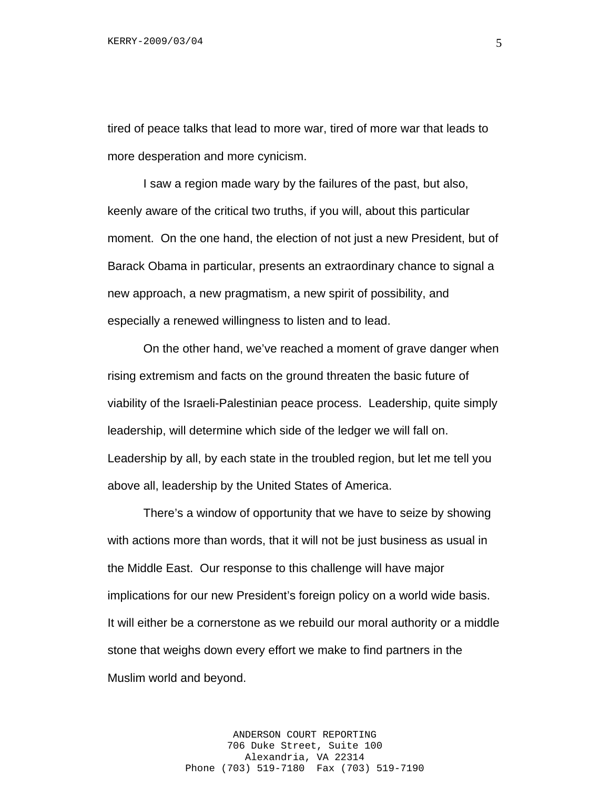tired of peace talks that lead to more war, tired of more war that leads to more desperation and more cynicism.

I saw a region made wary by the failures of the past, but also, keenly aware of the critical two truths, if you will, about this particular moment. On the one hand, the election of not just a new President, but of Barack Obama in particular, presents an extraordinary chance to signal a new approach, a new pragmatism, a new spirit of possibility, and especially a renewed willingness to listen and to lead.

On the other hand, we've reached a moment of grave danger when rising extremism and facts on the ground threaten the basic future of viability of the Israeli-Palestinian peace process. Leadership, quite simply leadership, will determine which side of the ledger we will fall on. Leadership by all, by each state in the troubled region, but let me tell you above all, leadership by the United States of America.

There's a window of opportunity that we have to seize by showing with actions more than words, that it will not be just business as usual in the Middle East. Our response to this challenge will have major implications for our new President's foreign policy on a world wide basis. It will either be a cornerstone as we rebuild our moral authority or a middle stone that weighs down every effort we make to find partners in the Muslim world and beyond.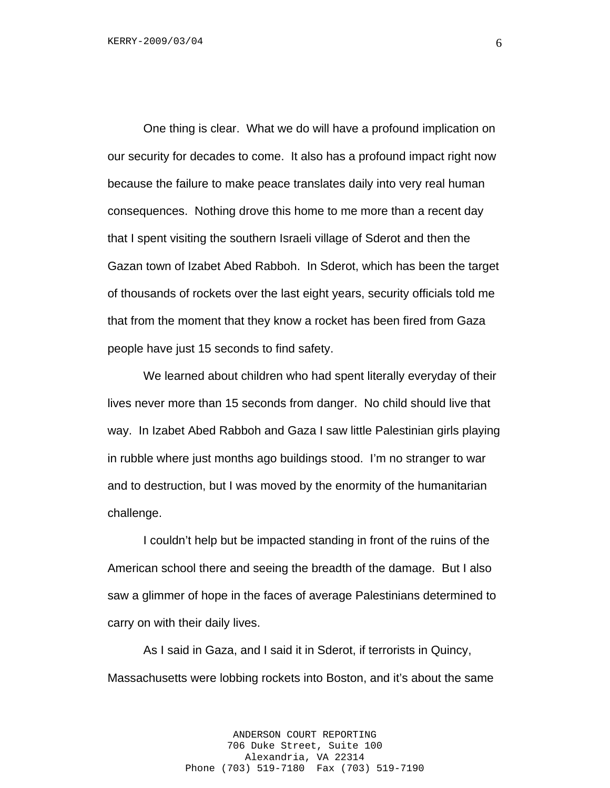One thing is clear. What we do will have a profound implication on our security for decades to come. It also has a profound impact right now because the failure to make peace translates daily into very real human consequences. Nothing drove this home to me more than a recent day that I spent visiting the southern Israeli village of Sderot and then the Gazan town of Izabet Abed Rabboh. In Sderot, which has been the target of thousands of rockets over the last eight years, security officials told me that from the moment that they know a rocket has been fired from Gaza people have just 15 seconds to find safety.

We learned about children who had spent literally everyday of their lives never more than 15 seconds from danger. No child should live that way. In Izabet Abed Rabboh and Gaza I saw little Palestinian girls playing in rubble where just months ago buildings stood. I'm no stranger to war and to destruction, but I was moved by the enormity of the humanitarian challenge.

I couldn't help but be impacted standing in front of the ruins of the American school there and seeing the breadth of the damage. But I also saw a glimmer of hope in the faces of average Palestinians determined to carry on with their daily lives.

As I said in Gaza, and I said it in Sderot, if terrorists in Quincy, Massachusetts were lobbing rockets into Boston, and it's about the same

> ANDERSON COURT REPORTING 706 Duke Street, Suite 100 Alexandria, VA 22314 Phone (703) 519-7180 Fax (703) 519-7190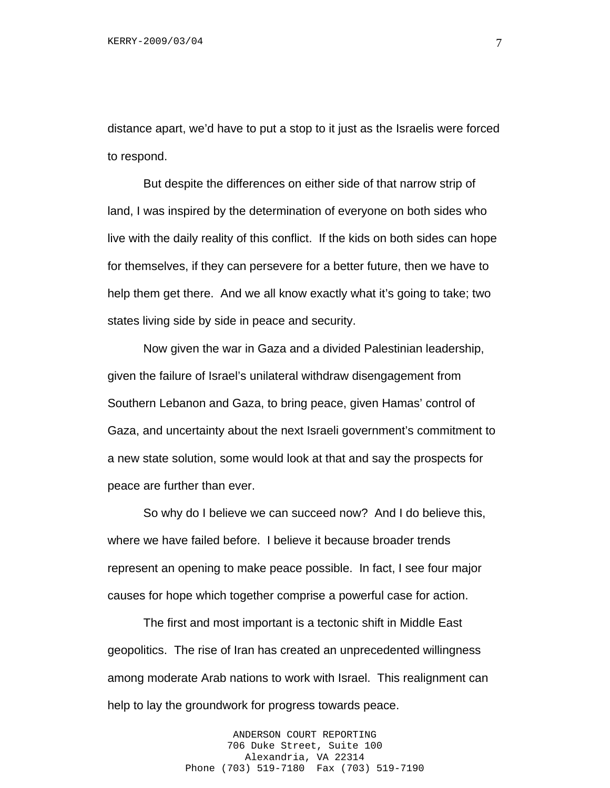distance apart, we'd have to put a stop to it just as the Israelis were forced to respond.

But despite the differences on either side of that narrow strip of land, I was inspired by the determination of everyone on both sides who live with the daily reality of this conflict. If the kids on both sides can hope for themselves, if they can persevere for a better future, then we have to help them get there. And we all know exactly what it's going to take; two states living side by side in peace and security.

Now given the war in Gaza and a divided Palestinian leadership, given the failure of Israel's unilateral withdraw disengagement from Southern Lebanon and Gaza, to bring peace, given Hamas' control of Gaza, and uncertainty about the next Israeli government's commitment to a new state solution, some would look at that and say the prospects for peace are further than ever.

So why do I believe we can succeed now? And I do believe this, where we have failed before. I believe it because broader trends represent an opening to make peace possible. In fact, I see four major causes for hope which together comprise a powerful case for action.

The first and most important is a tectonic shift in Middle East geopolitics. The rise of Iran has created an unprecedented willingness among moderate Arab nations to work with Israel. This realignment can help to lay the groundwork for progress towards peace.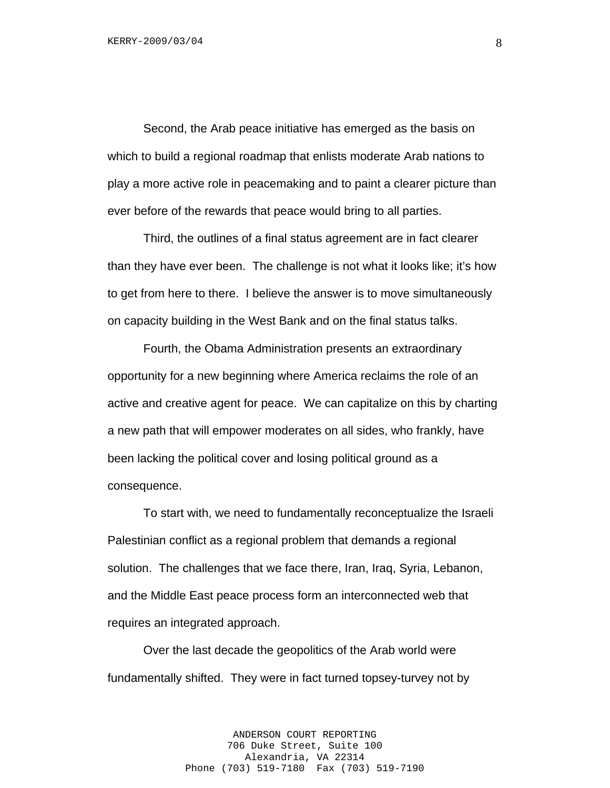Second, the Arab peace initiative has emerged as the basis on which to build a regional roadmap that enlists moderate Arab nations to play a more active role in peacemaking and to paint a clearer picture than ever before of the rewards that peace would bring to all parties.

Third, the outlines of a final status agreement are in fact clearer than they have ever been. The challenge is not what it looks like; it's how to get from here to there. I believe the answer is to move simultaneously on capacity building in the West Bank and on the final status talks.

Fourth, the Obama Administration presents an extraordinary opportunity for a new beginning where America reclaims the role of an active and creative agent for peace. We can capitalize on this by charting a new path that will empower moderates on all sides, who frankly, have been lacking the political cover and losing political ground as a consequence.

To start with, we need to fundamentally reconceptualize the Israeli Palestinian conflict as a regional problem that demands a regional solution. The challenges that we face there, Iran, Iraq, Syria, Lebanon, and the Middle East peace process form an interconnected web that requires an integrated approach.

Over the last decade the geopolitics of the Arab world were fundamentally shifted. They were in fact turned topsey-turvey not by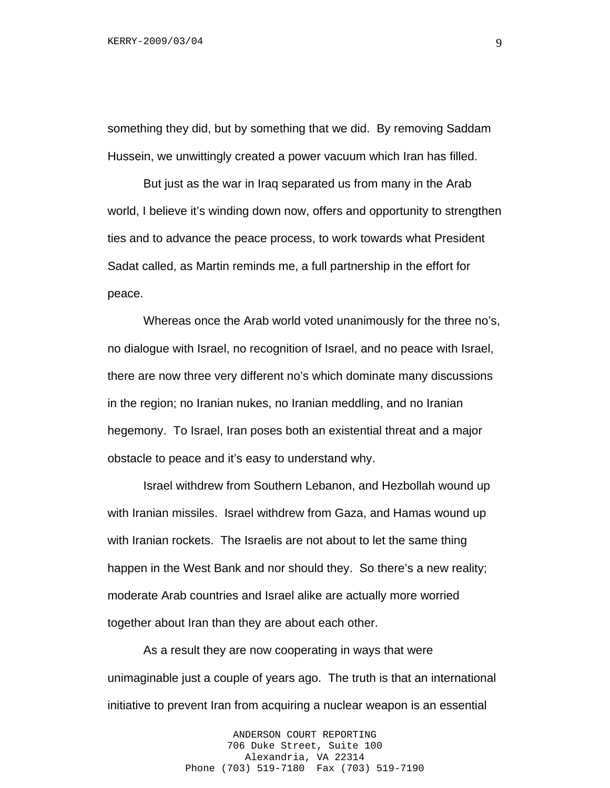something they did, but by something that we did. By removing Saddam Hussein, we unwittingly created a power vacuum which Iran has filled.

But just as the war in Iraq separated us from many in the Arab world, I believe it's winding down now, offers and opportunity to strengthen ties and to advance the peace process, to work towards what President Sadat called, as Martin reminds me, a full partnership in the effort for peace.

Whereas once the Arab world voted unanimously for the three no's, no dialogue with Israel, no recognition of Israel, and no peace with Israel, there are now three very different no's which dominate many discussions in the region; no Iranian nukes, no Iranian meddling, and no Iranian hegemony. To Israel, Iran poses both an existential threat and a major obstacle to peace and it's easy to understand why.

Israel withdrew from Southern Lebanon, and Hezbollah wound up with Iranian missiles. Israel withdrew from Gaza, and Hamas wound up with Iranian rockets. The Israelis are not about to let the same thing happen in the West Bank and nor should they. So there's a new reality; moderate Arab countries and Israel alike are actually more worried together about Iran than they are about each other.

As a result they are now cooperating in ways that were unimaginable just a couple of years ago. The truth is that an international initiative to prevent Iran from acquiring a nuclear weapon is an essential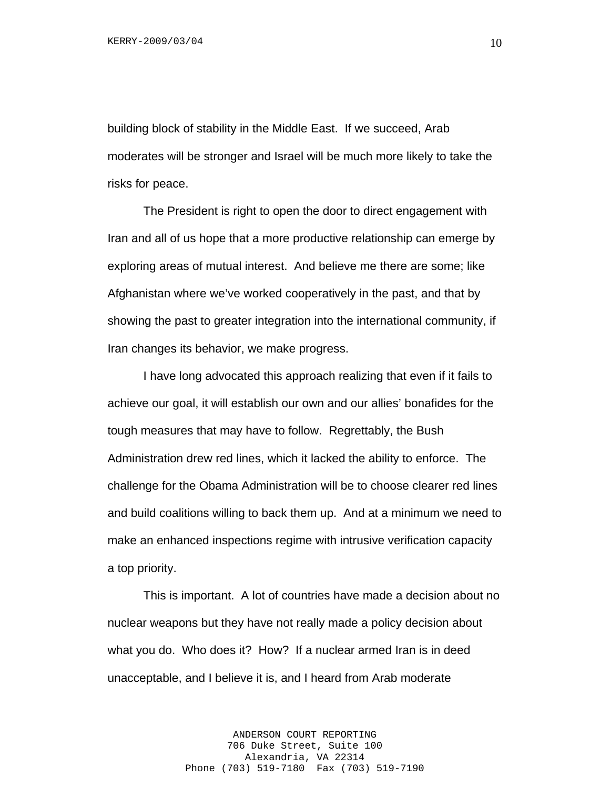building block of stability in the Middle East. If we succeed, Arab moderates will be stronger and Israel will be much more likely to take the risks for peace.

The President is right to open the door to direct engagement with Iran and all of us hope that a more productive relationship can emerge by exploring areas of mutual interest. And believe me there are some; like Afghanistan where we've worked cooperatively in the past, and that by showing the past to greater integration into the international community, if Iran changes its behavior, we make progress.

I have long advocated this approach realizing that even if it fails to achieve our goal, it will establish our own and our allies' bonafides for the tough measures that may have to follow. Regrettably, the Bush Administration drew red lines, which it lacked the ability to enforce. The challenge for the Obama Administration will be to choose clearer red lines and build coalitions willing to back them up. And at a minimum we need to make an enhanced inspections regime with intrusive verification capacity a top priority.

This is important. A lot of countries have made a decision about no nuclear weapons but they have not really made a policy decision about what you do. Who does it? How? If a nuclear armed Iran is in deed unacceptable, and I believe it is, and I heard from Arab moderate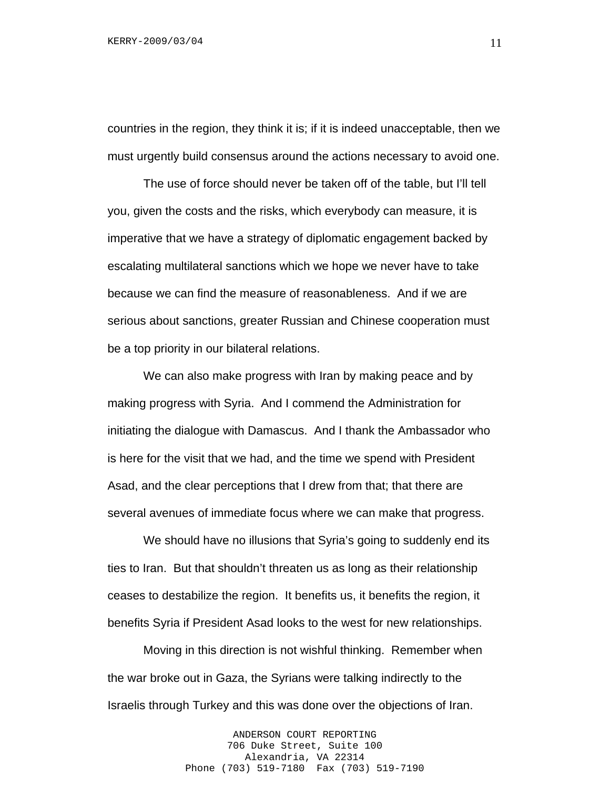countries in the region, they think it is; if it is indeed unacceptable, then we must urgently build consensus around the actions necessary to avoid one.

The use of force should never be taken off of the table, but I'll tell you, given the costs and the risks, which everybody can measure, it is imperative that we have a strategy of diplomatic engagement backed by escalating multilateral sanctions which we hope we never have to take because we can find the measure of reasonableness. And if we are serious about sanctions, greater Russian and Chinese cooperation must be a top priority in our bilateral relations.

We can also make progress with Iran by making peace and by making progress with Syria. And I commend the Administration for initiating the dialogue with Damascus. And I thank the Ambassador who is here for the visit that we had, and the time we spend with President Asad, and the clear perceptions that I drew from that; that there are several avenues of immediate focus where we can make that progress.

We should have no illusions that Syria's going to suddenly end its ties to Iran. But that shouldn't threaten us as long as their relationship ceases to destabilize the region. It benefits us, it benefits the region, it benefits Syria if President Asad looks to the west for new relationships.

Moving in this direction is not wishful thinking. Remember when the war broke out in Gaza, the Syrians were talking indirectly to the Israelis through Turkey and this was done over the objections of Iran.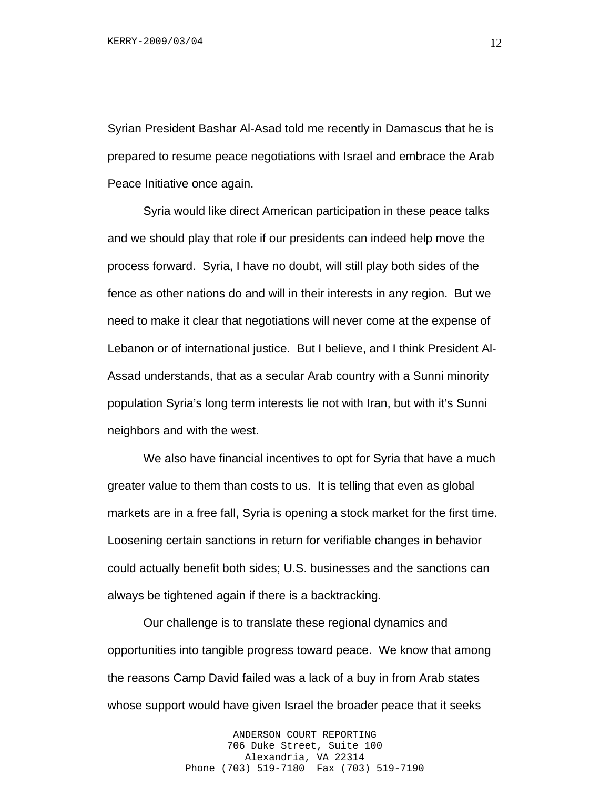Syrian President Bashar Al-Asad told me recently in Damascus that he is prepared to resume peace negotiations with Israel and embrace the Arab Peace Initiative once again.

Syria would like direct American participation in these peace talks and we should play that role if our presidents can indeed help move the process forward. Syria, I have no doubt, will still play both sides of the fence as other nations do and will in their interests in any region. But we need to make it clear that negotiations will never come at the expense of Lebanon or of international justice. But I believe, and I think President Al-Assad understands, that as a secular Arab country with a Sunni minority population Syria's long term interests lie not with Iran, but with it's Sunni neighbors and with the west.

We also have financial incentives to opt for Syria that have a much greater value to them than costs to us. It is telling that even as global markets are in a free fall, Syria is opening a stock market for the first time. Loosening certain sanctions in return for verifiable changes in behavior could actually benefit both sides; U.S. businesses and the sanctions can always be tightened again if there is a backtracking.

Our challenge is to translate these regional dynamics and opportunities into tangible progress toward peace. We know that among the reasons Camp David failed was a lack of a buy in from Arab states whose support would have given Israel the broader peace that it seeks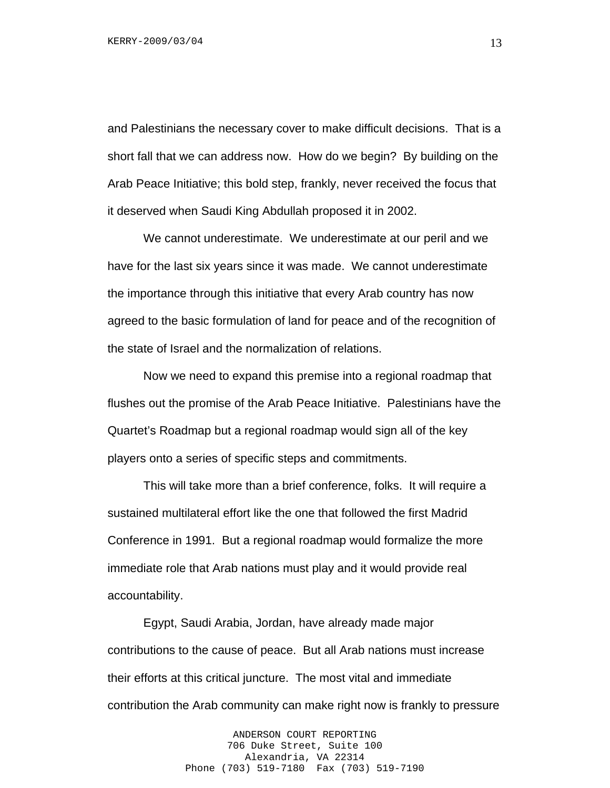and Palestinians the necessary cover to make difficult decisions. That is a short fall that we can address now. How do we begin? By building on the Arab Peace Initiative; this bold step, frankly, never received the focus that it deserved when Saudi King Abdullah proposed it in 2002.

We cannot underestimate. We underestimate at our peril and we have for the last six years since it was made. We cannot underestimate the importance through this initiative that every Arab country has now agreed to the basic formulation of land for peace and of the recognition of the state of Israel and the normalization of relations.

Now we need to expand this premise into a regional roadmap that flushes out the promise of the Arab Peace Initiative. Palestinians have the Quartet's Roadmap but a regional roadmap would sign all of the key players onto a series of specific steps and commitments.

This will take more than a brief conference, folks. It will require a sustained multilateral effort like the one that followed the first Madrid Conference in 1991. But a regional roadmap would formalize the more immediate role that Arab nations must play and it would provide real accountability.

Egypt, Saudi Arabia, Jordan, have already made major contributions to the cause of peace. But all Arab nations must increase their efforts at this critical juncture. The most vital and immediate contribution the Arab community can make right now is frankly to pressure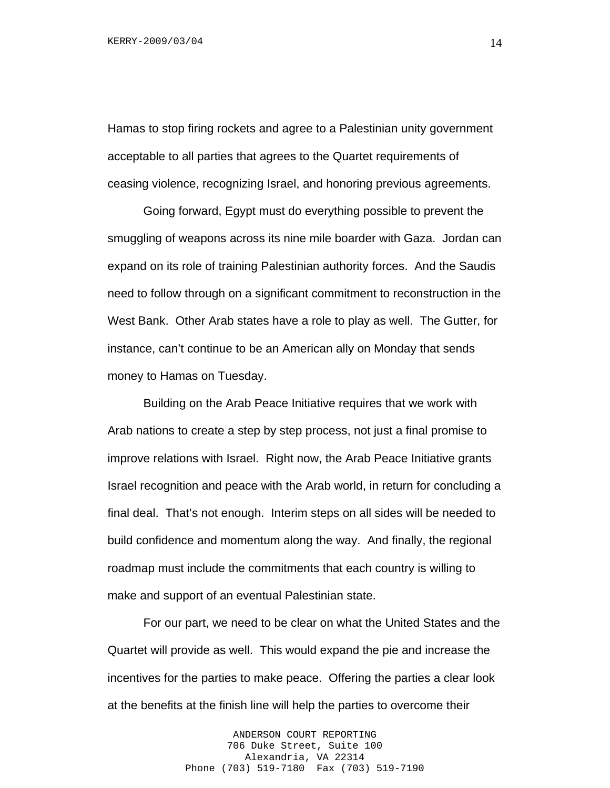Hamas to stop firing rockets and agree to a Palestinian unity government acceptable to all parties that agrees to the Quartet requirements of ceasing violence, recognizing Israel, and honoring previous agreements.

Going forward, Egypt must do everything possible to prevent the smuggling of weapons across its nine mile boarder with Gaza. Jordan can expand on its role of training Palestinian authority forces. And the Saudis need to follow through on a significant commitment to reconstruction in the West Bank. Other Arab states have a role to play as well. The Gutter, for instance, can't continue to be an American ally on Monday that sends money to Hamas on Tuesday.

Building on the Arab Peace Initiative requires that we work with Arab nations to create a step by step process, not just a final promise to improve relations with Israel. Right now, the Arab Peace Initiative grants Israel recognition and peace with the Arab world, in return for concluding a final deal. That's not enough. Interim steps on all sides will be needed to build confidence and momentum along the way. And finally, the regional roadmap must include the commitments that each country is willing to make and support of an eventual Palestinian state.

For our part, we need to be clear on what the United States and the Quartet will provide as well. This would expand the pie and increase the incentives for the parties to make peace. Offering the parties a clear look at the benefits at the finish line will help the parties to overcome their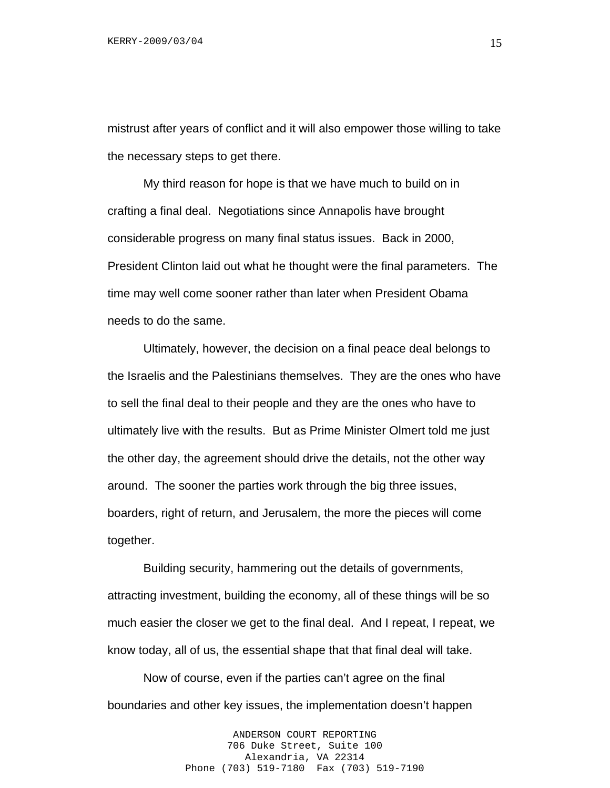mistrust after years of conflict and it will also empower those willing to take the necessary steps to get there.

My third reason for hope is that we have much to build on in crafting a final deal. Negotiations since Annapolis have brought considerable progress on many final status issues. Back in 2000, President Clinton laid out what he thought were the final parameters. The time may well come sooner rather than later when President Obama needs to do the same.

Ultimately, however, the decision on a final peace deal belongs to the Israelis and the Palestinians themselves. They are the ones who have to sell the final deal to their people and they are the ones who have to ultimately live with the results. But as Prime Minister Olmert told me just the other day, the agreement should drive the details, not the other way around. The sooner the parties work through the big three issues, boarders, right of return, and Jerusalem, the more the pieces will come together.

Building security, hammering out the details of governments, attracting investment, building the economy, all of these things will be so much easier the closer we get to the final deal. And I repeat, I repeat, we know today, all of us, the essential shape that that final deal will take.

Now of course, even if the parties can't agree on the final boundaries and other key issues, the implementation doesn't happen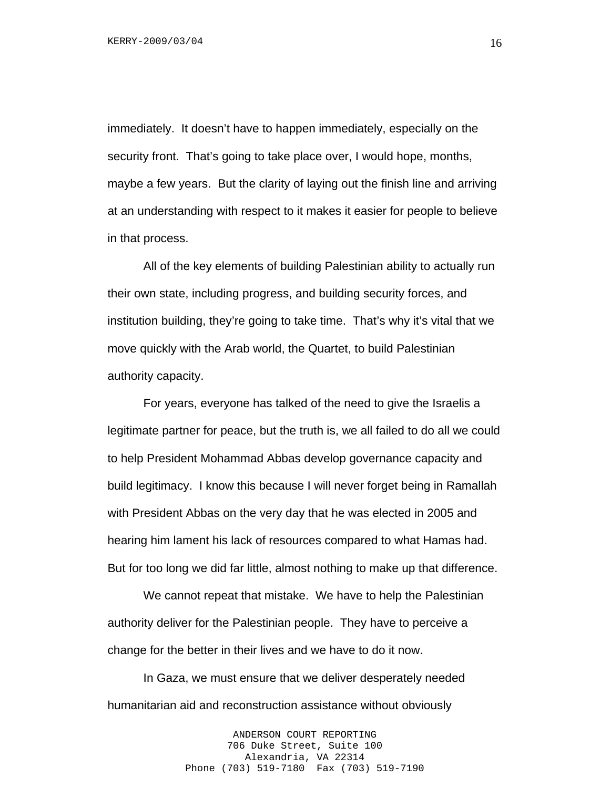immediately. It doesn't have to happen immediately, especially on the security front. That's going to take place over, I would hope, months, maybe a few years. But the clarity of laying out the finish line and arriving at an understanding with respect to it makes it easier for people to believe in that process.

All of the key elements of building Palestinian ability to actually run their own state, including progress, and building security forces, and institution building, they're going to take time. That's why it's vital that we move quickly with the Arab world, the Quartet, to build Palestinian authority capacity.

For years, everyone has talked of the need to give the Israelis a legitimate partner for peace, but the truth is, we all failed to do all we could to help President Mohammad Abbas develop governance capacity and build legitimacy. I know this because I will never forget being in Ramallah with President Abbas on the very day that he was elected in 2005 and hearing him lament his lack of resources compared to what Hamas had. But for too long we did far little, almost nothing to make up that difference.

We cannot repeat that mistake. We have to help the Palestinian authority deliver for the Palestinian people. They have to perceive a change for the better in their lives and we have to do it now.

In Gaza, we must ensure that we deliver desperately needed humanitarian aid and reconstruction assistance without obviously

> ANDERSON COURT REPORTING 706 Duke Street, Suite 100 Alexandria, VA 22314 Phone (703) 519-7180 Fax (703) 519-7190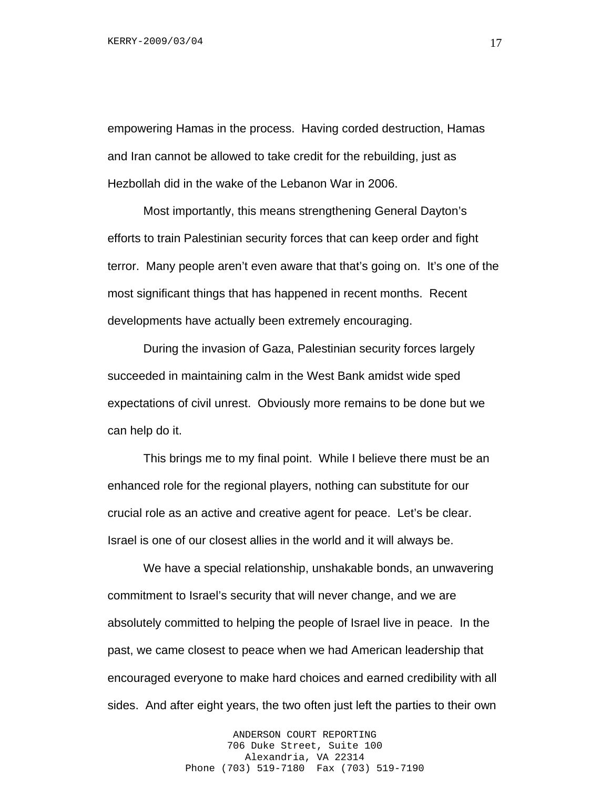empowering Hamas in the process. Having corded destruction, Hamas and Iran cannot be allowed to take credit for the rebuilding, just as Hezbollah did in the wake of the Lebanon War in 2006.

Most importantly, this means strengthening General Dayton's efforts to train Palestinian security forces that can keep order and fight terror. Many people aren't even aware that that's going on. It's one of the most significant things that has happened in recent months. Recent developments have actually been extremely encouraging.

During the invasion of Gaza, Palestinian security forces largely succeeded in maintaining calm in the West Bank amidst wide sped expectations of civil unrest. Obviously more remains to be done but we can help do it.

This brings me to my final point. While I believe there must be an enhanced role for the regional players, nothing can substitute for our crucial role as an active and creative agent for peace. Let's be clear. Israel is one of our closest allies in the world and it will always be.

We have a special relationship, unshakable bonds, an unwavering commitment to Israel's security that will never change, and we are absolutely committed to helping the people of Israel live in peace. In the past, we came closest to peace when we had American leadership that encouraged everyone to make hard choices and earned credibility with all sides. And after eight years, the two often just left the parties to their own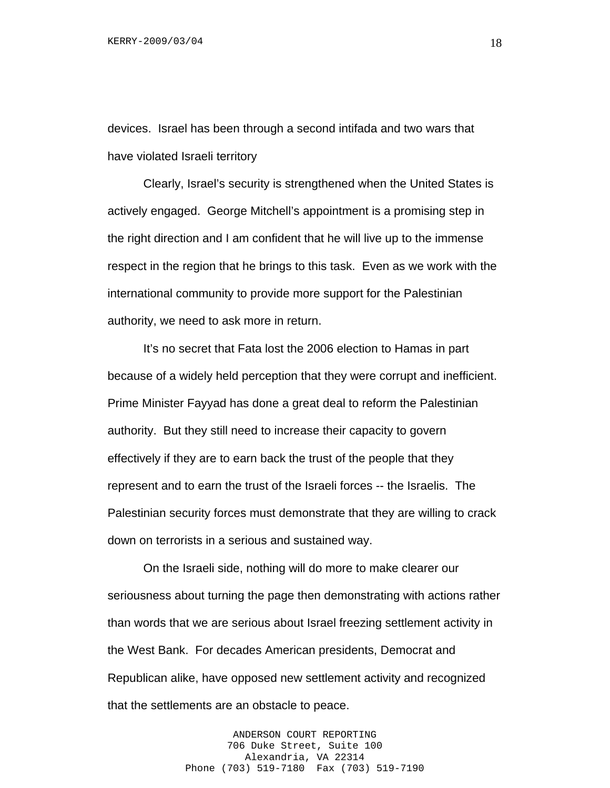devices. Israel has been through a second intifada and two wars that have violated Israeli territory

Clearly, Israel's security is strengthened when the United States is actively engaged. George Mitchell's appointment is a promising step in the right direction and I am confident that he will live up to the immense respect in the region that he brings to this task. Even as we work with the international community to provide more support for the Palestinian authority, we need to ask more in return.

It's no secret that Fata lost the 2006 election to Hamas in part because of a widely held perception that they were corrupt and inefficient. Prime Minister Fayyad has done a great deal to reform the Palestinian authority. But they still need to increase their capacity to govern effectively if they are to earn back the trust of the people that they represent and to earn the trust of the Israeli forces -- the Israelis. The Palestinian security forces must demonstrate that they are willing to crack down on terrorists in a serious and sustained way.

On the Israeli side, nothing will do more to make clearer our seriousness about turning the page then demonstrating with actions rather than words that we are serious about Israel freezing settlement activity in the West Bank. For decades American presidents, Democrat and Republican alike, have opposed new settlement activity and recognized that the settlements are an obstacle to peace.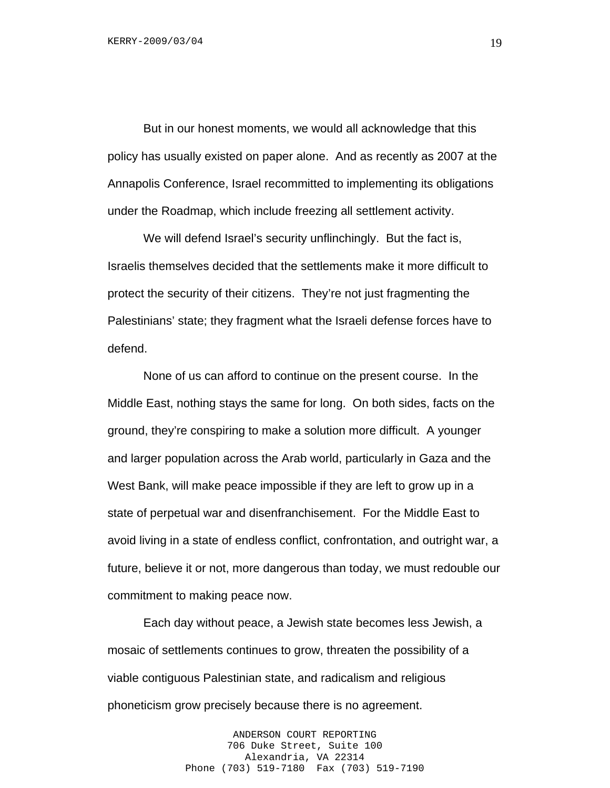But in our honest moments, we would all acknowledge that this policy has usually existed on paper alone. And as recently as 2007 at the Annapolis Conference, Israel recommitted to implementing its obligations under the Roadmap, which include freezing all settlement activity.

We will defend Israel's security unflinchingly. But the fact is, Israelis themselves decided that the settlements make it more difficult to protect the security of their citizens. They're not just fragmenting the Palestinians' state; they fragment what the Israeli defense forces have to defend.

None of us can afford to continue on the present course. In the Middle East, nothing stays the same for long. On both sides, facts on the ground, they're conspiring to make a solution more difficult. A younger and larger population across the Arab world, particularly in Gaza and the West Bank, will make peace impossible if they are left to grow up in a state of perpetual war and disenfranchisement. For the Middle East to avoid living in a state of endless conflict, confrontation, and outright war, a future, believe it or not, more dangerous than today, we must redouble our commitment to making peace now.

Each day without peace, a Jewish state becomes less Jewish, a mosaic of settlements continues to grow, threaten the possibility of a viable contiguous Palestinian state, and radicalism and religious phoneticism grow precisely because there is no agreement.

> ANDERSON COURT REPORTING 706 Duke Street, Suite 100 Alexandria, VA 22314 Phone (703) 519-7180 Fax (703) 519-7190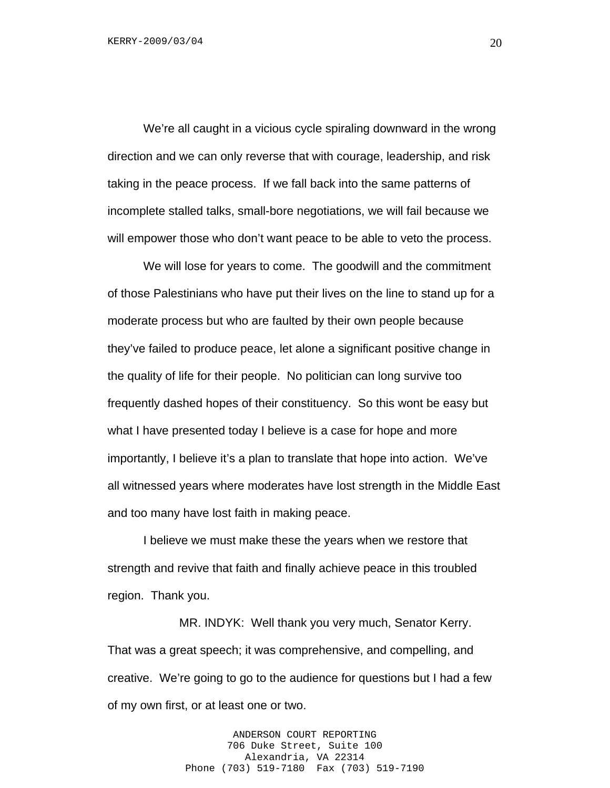We're all caught in a vicious cycle spiraling downward in the wrong direction and we can only reverse that with courage, leadership, and risk taking in the peace process. If we fall back into the same patterns of incomplete stalled talks, small-bore negotiations, we will fail because we will empower those who don't want peace to be able to veto the process.

We will lose for years to come. The goodwill and the commitment of those Palestinians who have put their lives on the line to stand up for a moderate process but who are faulted by their own people because they've failed to produce peace, let alone a significant positive change in the quality of life for their people. No politician can long survive too frequently dashed hopes of their constituency. So this wont be easy but what I have presented today I believe is a case for hope and more importantly, I believe it's a plan to translate that hope into action. We've all witnessed years where moderates have lost strength in the Middle East and too many have lost faith in making peace.

I believe we must make these the years when we restore that strength and revive that faith and finally achieve peace in this troubled region. Thank you.

 MR. INDYK: Well thank you very much, Senator Kerry. That was a great speech; it was comprehensive, and compelling, and creative. We're going to go to the audience for questions but I had a few of my own first, or at least one or two.

> ANDERSON COURT REPORTING 706 Duke Street, Suite 100 Alexandria, VA 22314 Phone (703) 519-7180 Fax (703) 519-7190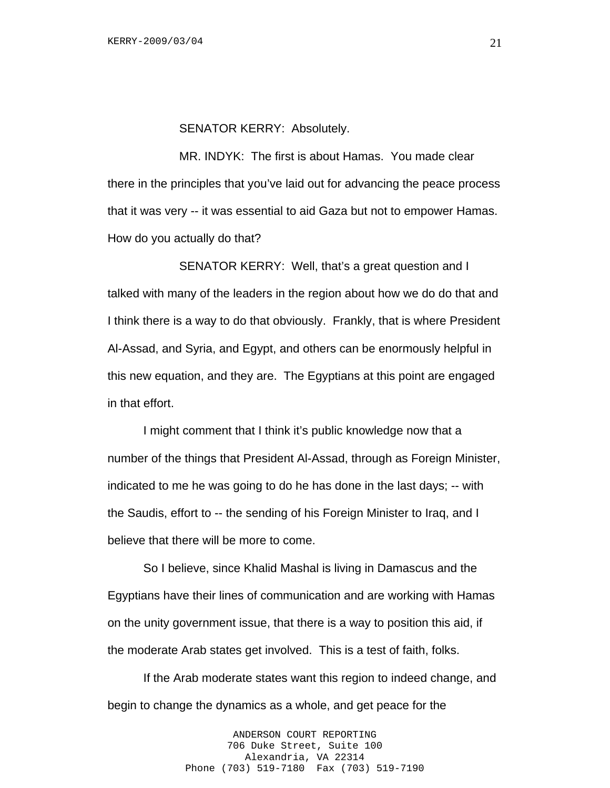#### SENATOR KERRY: Absolutely.

 MR. INDYK: The first is about Hamas. You made clear there in the principles that you've laid out for advancing the peace process that it was very -- it was essential to aid Gaza but not to empower Hamas. How do you actually do that?

SENATOR KERRY: Well, that's a great question and I talked with many of the leaders in the region about how we do do that and I think there is a way to do that obviously. Frankly, that is where President Al-Assad, and Syria, and Egypt, and others can be enormously helpful in this new equation, and they are. The Egyptians at this point are engaged in that effort.

I might comment that I think it's public knowledge now that a number of the things that President Al-Assad, through as Foreign Minister, indicated to me he was going to do he has done in the last days; -- with the Saudis, effort to -- the sending of his Foreign Minister to Iraq, and I believe that there will be more to come.

So I believe, since Khalid Mashal is living in Damascus and the Egyptians have their lines of communication and are working with Hamas on the unity government issue, that there is a way to position this aid, if the moderate Arab states get involved. This is a test of faith, folks.

If the Arab moderate states want this region to indeed change, and begin to change the dynamics as a whole, and get peace for the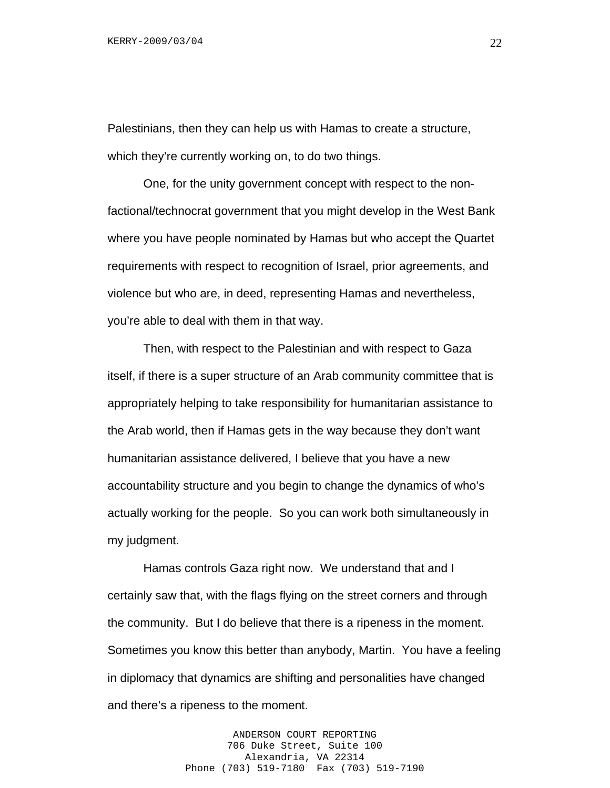Palestinians, then they can help us with Hamas to create a structure, which they're currently working on, to do two things.

One, for the unity government concept with respect to the nonfactional/technocrat government that you might develop in the West Bank where you have people nominated by Hamas but who accept the Quartet requirements with respect to recognition of Israel, prior agreements, and violence but who are, in deed, representing Hamas and nevertheless, you're able to deal with them in that way.

Then, with respect to the Palestinian and with respect to Gaza itself, if there is a super structure of an Arab community committee that is appropriately helping to take responsibility for humanitarian assistance to the Arab world, then if Hamas gets in the way because they don't want humanitarian assistance delivered, I believe that you have a new accountability structure and you begin to change the dynamics of who's actually working for the people. So you can work both simultaneously in my judgment.

Hamas controls Gaza right now. We understand that and I certainly saw that, with the flags flying on the street corners and through the community. But I do believe that there is a ripeness in the moment. Sometimes you know this better than anybody, Martin. You have a feeling in diplomacy that dynamics are shifting and personalities have changed and there's a ripeness to the moment.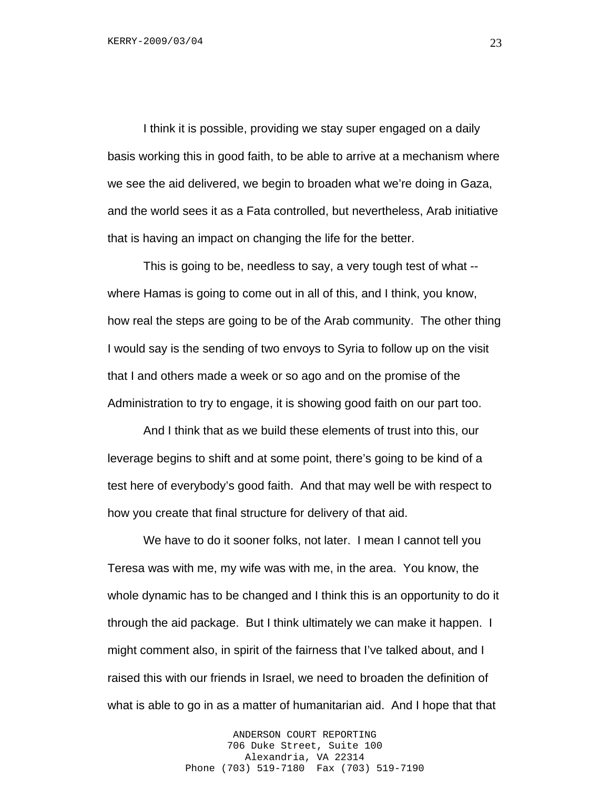I think it is possible, providing we stay super engaged on a daily basis working this in good faith, to be able to arrive at a mechanism where we see the aid delivered, we begin to broaden what we're doing in Gaza, and the world sees it as a Fata controlled, but nevertheless, Arab initiative that is having an impact on changing the life for the better.

This is going to be, needless to say, a very tough test of what - where Hamas is going to come out in all of this, and I think, you know, how real the steps are going to be of the Arab community. The other thing I would say is the sending of two envoys to Syria to follow up on the visit that I and others made a week or so ago and on the promise of the Administration to try to engage, it is showing good faith on our part too.

And I think that as we build these elements of trust into this, our leverage begins to shift and at some point, there's going to be kind of a test here of everybody's good faith. And that may well be with respect to how you create that final structure for delivery of that aid.

We have to do it sooner folks, not later. I mean I cannot tell you Teresa was with me, my wife was with me, in the area. You know, the whole dynamic has to be changed and I think this is an opportunity to do it through the aid package. But I think ultimately we can make it happen. I might comment also, in spirit of the fairness that I've talked about, and I raised this with our friends in Israel, we need to broaden the definition of what is able to go in as a matter of humanitarian aid. And I hope that that

> ANDERSON COURT REPORTING 706 Duke Street, Suite 100 Alexandria, VA 22314 Phone (703) 519-7180 Fax (703) 519-7190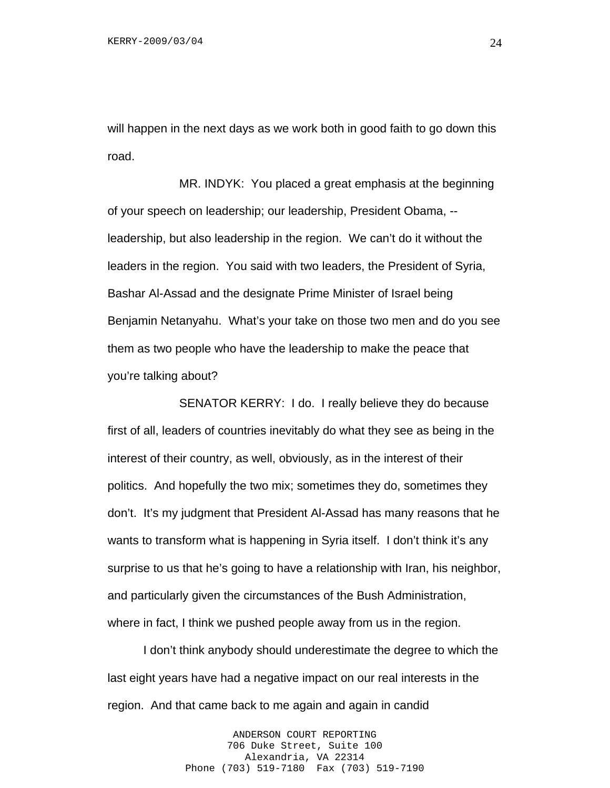will happen in the next days as we work both in good faith to go down this road.

 MR. INDYK: You placed a great emphasis at the beginning of your speech on leadership; our leadership, President Obama, - leadership, but also leadership in the region. We can't do it without the leaders in the region. You said with two leaders, the President of Syria, Bashar Al-Assad and the designate Prime Minister of Israel being Benjamin Netanyahu. What's your take on those two men and do you see them as two people who have the leadership to make the peace that you're talking about?

 SENATOR KERRY: I do. I really believe they do because first of all, leaders of countries inevitably do what they see as being in the interest of their country, as well, obviously, as in the interest of their politics. And hopefully the two mix; sometimes they do, sometimes they don't. It's my judgment that President Al-Assad has many reasons that he wants to transform what is happening in Syria itself. I don't think it's any surprise to us that he's going to have a relationship with Iran, his neighbor, and particularly given the circumstances of the Bush Administration, where in fact, I think we pushed people away from us in the region.

I don't think anybody should underestimate the degree to which the last eight years have had a negative impact on our real interests in the region. And that came back to me again and again in candid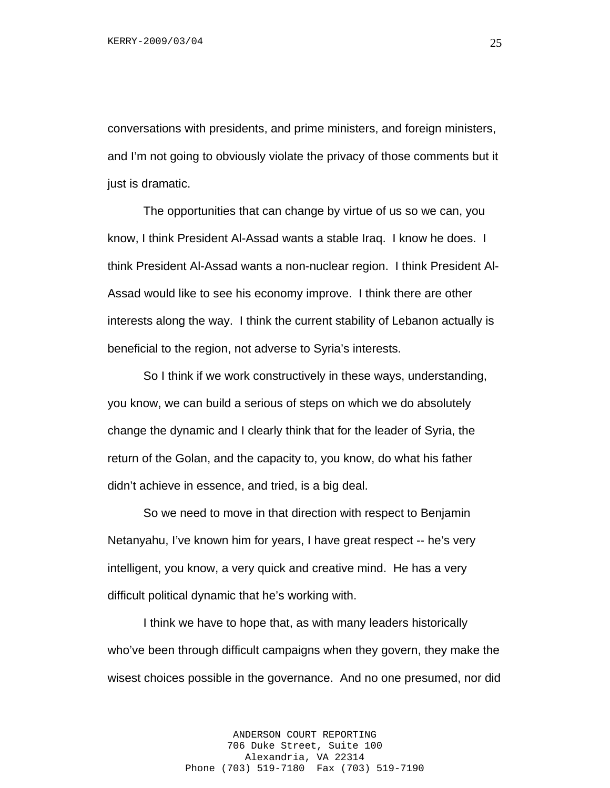conversations with presidents, and prime ministers, and foreign ministers, and I'm not going to obviously violate the privacy of those comments but it just is dramatic.

The opportunities that can change by virtue of us so we can, you know, I think President Al-Assad wants a stable Iraq. I know he does. I think President Al-Assad wants a non-nuclear region. I think President Al-Assad would like to see his economy improve. I think there are other interests along the way. I think the current stability of Lebanon actually is beneficial to the region, not adverse to Syria's interests.

So I think if we work constructively in these ways, understanding, you know, we can build a serious of steps on which we do absolutely change the dynamic and I clearly think that for the leader of Syria, the return of the Golan, and the capacity to, you know, do what his father didn't achieve in essence, and tried, is a big deal.

So we need to move in that direction with respect to Benjamin Netanyahu, I've known him for years, I have great respect -- he's very intelligent, you know, a very quick and creative mind. He has a very difficult political dynamic that he's working with.

I think we have to hope that, as with many leaders historically who've been through difficult campaigns when they govern, they make the wisest choices possible in the governance. And no one presumed, nor did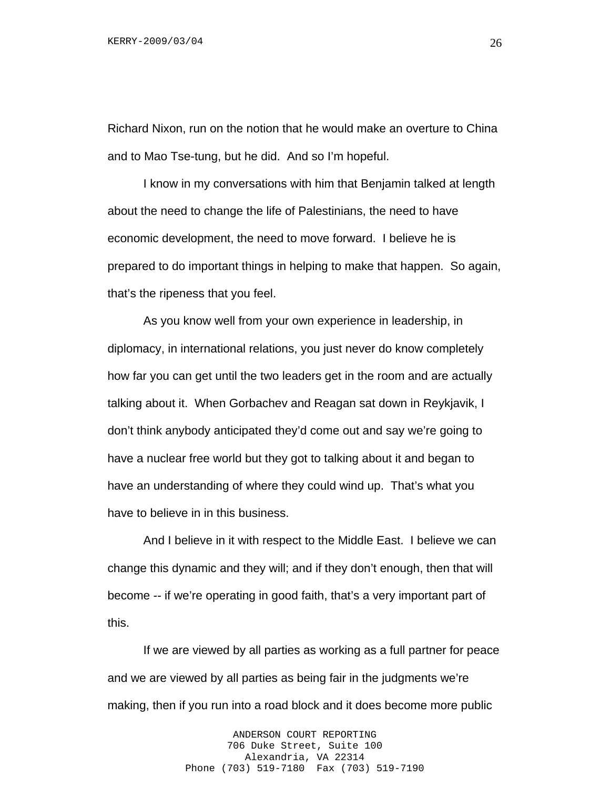Richard Nixon, run on the notion that he would make an overture to China and to Mao Tse-tung, but he did. And so I'm hopeful.

I know in my conversations with him that Benjamin talked at length about the need to change the life of Palestinians, the need to have economic development, the need to move forward. I believe he is prepared to do important things in helping to make that happen. So again, that's the ripeness that you feel.

As you know well from your own experience in leadership, in diplomacy, in international relations, you just never do know completely how far you can get until the two leaders get in the room and are actually talking about it. When Gorbachev and Reagan sat down in Reykjavik, I don't think anybody anticipated they'd come out and say we're going to have a nuclear free world but they got to talking about it and began to have an understanding of where they could wind up. That's what you have to believe in in this business.

And I believe in it with respect to the Middle East. I believe we can change this dynamic and they will; and if they don't enough, then that will become -- if we're operating in good faith, that's a very important part of this.

If we are viewed by all parties as working as a full partner for peace and we are viewed by all parties as being fair in the judgments we're making, then if you run into a road block and it does become more public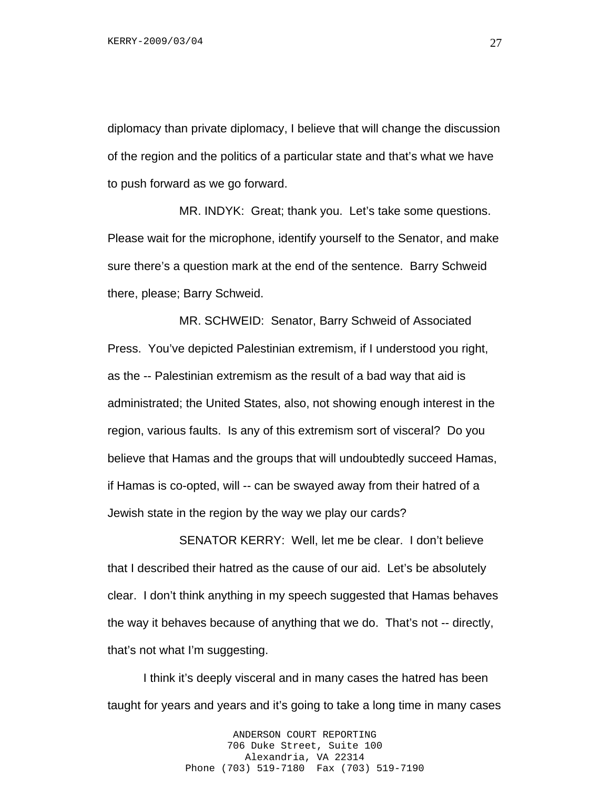diplomacy than private diplomacy, I believe that will change the discussion of the region and the politics of a particular state and that's what we have to push forward as we go forward.

 MR. INDYK: Great; thank you. Let's take some questions. Please wait for the microphone, identify yourself to the Senator, and make sure there's a question mark at the end of the sentence. Barry Schweid there, please; Barry Schweid.

 MR. SCHWEID: Senator, Barry Schweid of Associated Press. You've depicted Palestinian extremism, if I understood you right, as the -- Palestinian extremism as the result of a bad way that aid is administrated; the United States, also, not showing enough interest in the region, various faults. Is any of this extremism sort of visceral? Do you believe that Hamas and the groups that will undoubtedly succeed Hamas, if Hamas is co-opted, will -- can be swayed away from their hatred of a Jewish state in the region by the way we play our cards?

 SENATOR KERRY: Well, let me be clear. I don't believe that I described their hatred as the cause of our aid. Let's be absolutely clear. I don't think anything in my speech suggested that Hamas behaves the way it behaves because of anything that we do. That's not -- directly, that's not what I'm suggesting.

I think it's deeply visceral and in many cases the hatred has been taught for years and years and it's going to take a long time in many cases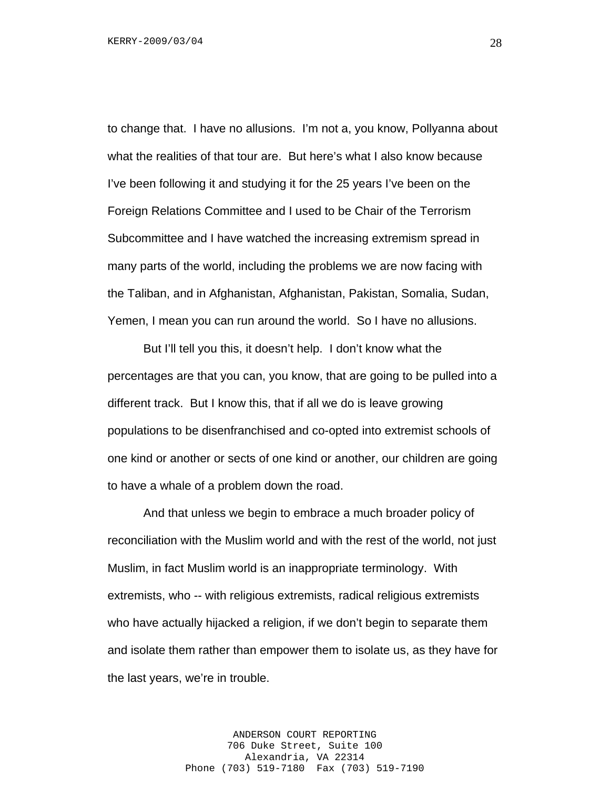to change that. I have no allusions. I'm not a, you know, Pollyanna about what the realities of that tour are. But here's what I also know because I've been following it and studying it for the 25 years I've been on the Foreign Relations Committee and I used to be Chair of the Terrorism Subcommittee and I have watched the increasing extremism spread in many parts of the world, including the problems we are now facing with the Taliban, and in Afghanistan, Afghanistan, Pakistan, Somalia, Sudan, Yemen, I mean you can run around the world. So I have no allusions.

But I'll tell you this, it doesn't help. I don't know what the percentages are that you can, you know, that are going to be pulled into a different track. But I know this, that if all we do is leave growing populations to be disenfranchised and co-opted into extremist schools of one kind or another or sects of one kind or another, our children are going to have a whale of a problem down the road.

And that unless we begin to embrace a much broader policy of reconciliation with the Muslim world and with the rest of the world, not just Muslim, in fact Muslim world is an inappropriate terminology. With extremists, who -- with religious extremists, radical religious extremists who have actually hijacked a religion, if we don't begin to separate them and isolate them rather than empower them to isolate us, as they have for the last years, we're in trouble.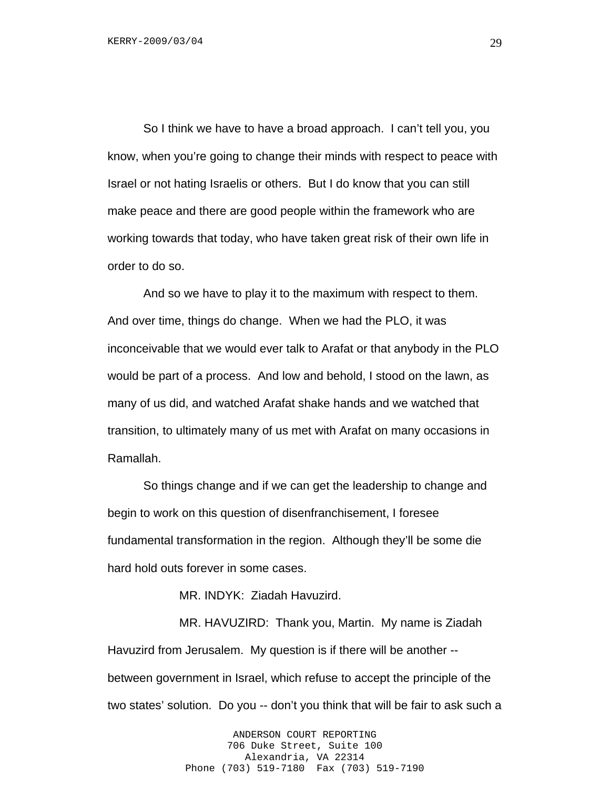So I think we have to have a broad approach. I can't tell you, you know, when you're going to change their minds with respect to peace with Israel or not hating Israelis or others. But I do know that you can still make peace and there are good people within the framework who are working towards that today, who have taken great risk of their own life in order to do so.

And so we have to play it to the maximum with respect to them. And over time, things do change. When we had the PLO, it was inconceivable that we would ever talk to Arafat or that anybody in the PLO would be part of a process. And low and behold, I stood on the lawn, as many of us did, and watched Arafat shake hands and we watched that transition, to ultimately many of us met with Arafat on many occasions in Ramallah.

So things change and if we can get the leadership to change and begin to work on this question of disenfranchisement, I foresee fundamental transformation in the region. Although they'll be some die hard hold outs forever in some cases.

MR. INDYK: Ziadah Havuzird.

 MR. HAVUZIRD: Thank you, Martin. My name is Ziadah Havuzird from Jerusalem. My question is if there will be another - between government in Israel, which refuse to accept the principle of the two states' solution. Do you -- don't you think that will be fair to ask such a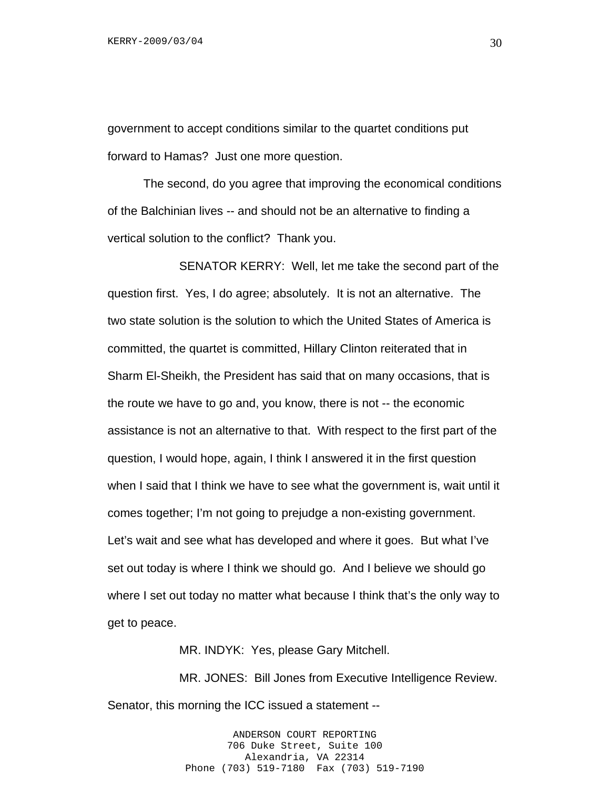government to accept conditions similar to the quartet conditions put forward to Hamas? Just one more question.

The second, do you agree that improving the economical conditions of the Balchinian lives -- and should not be an alternative to finding a vertical solution to the conflict? Thank you.

 SENATOR KERRY: Well, let me take the second part of the question first. Yes, I do agree; absolutely. It is not an alternative. The two state solution is the solution to which the United States of America is committed, the quartet is committed, Hillary Clinton reiterated that in Sharm El-Sheikh, the President has said that on many occasions, that is the route we have to go and, you know, there is not -- the economic assistance is not an alternative to that. With respect to the first part of the question, I would hope, again, I think I answered it in the first question when I said that I think we have to see what the government is, wait until it comes together; I'm not going to prejudge a non-existing government. Let's wait and see what has developed and where it goes. But what I've set out today is where I think we should go. And I believe we should go where I set out today no matter what because I think that's the only way to get to peace.

MR. INDYK: Yes, please Gary Mitchell.

 MR. JONES: Bill Jones from Executive Intelligence Review. Senator, this morning the ICC issued a statement --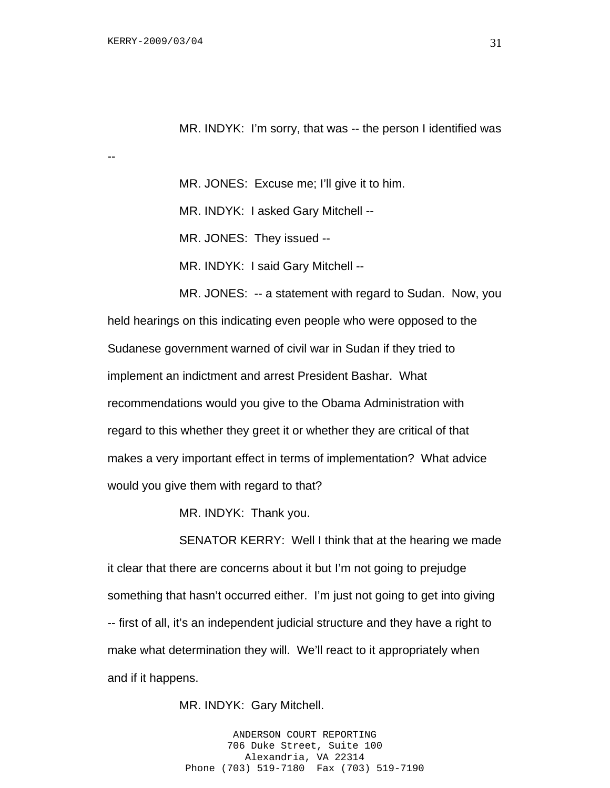--

MR. INDYK: I'm sorry, that was -- the person I identified was

MR. JONES: Excuse me; I'll give it to him.

MR. INDYK: I asked Gary Mitchell --

MR. JONES: They issued --

MR. INDYK: I said Gary Mitchell --

MR. JONES: -- a statement with regard to Sudan. Now, you held hearings on this indicating even people who were opposed to the Sudanese government warned of civil war in Sudan if they tried to implement an indictment and arrest President Bashar. What recommendations would you give to the Obama Administration with regard to this whether they greet it or whether they are critical of that makes a very important effect in terms of implementation? What advice would you give them with regard to that?

MR. INDYK: Thank you.

SENATOR KERRY: Well I think that at the hearing we made it clear that there are concerns about it but I'm not going to prejudge something that hasn't occurred either. I'm just not going to get into giving -- first of all, it's an independent judicial structure and they have a right to make what determination they will. We'll react to it appropriately when and if it happens.

MR. INDYK: Gary Mitchell.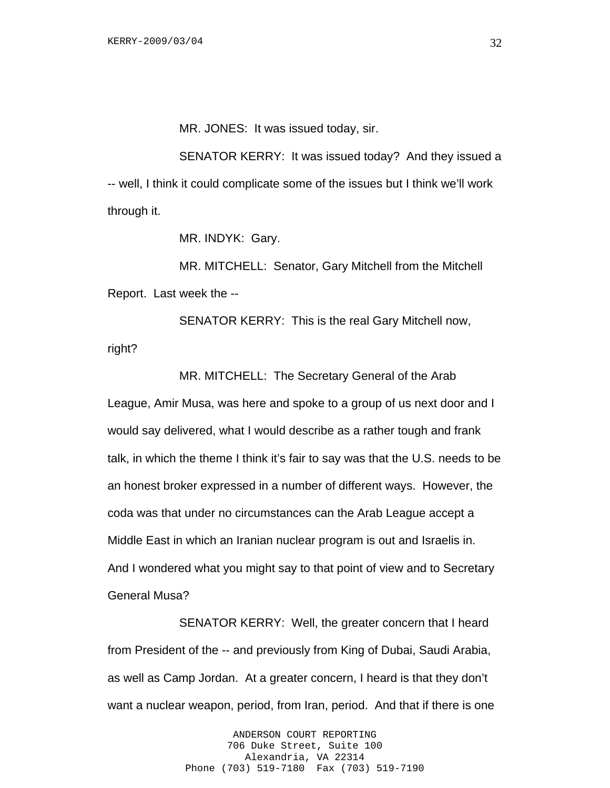MR. JONES: It was issued today, sir.

SENATOR KERRY: It was issued today? And they issued a -- well, I think it could complicate some of the issues but I think we'll work through it.

MR. INDYK: Gary.

MR. MITCHELL: Senator, Gary Mitchell from the Mitchell Report. Last week the --

SENATOR KERRY: This is the real Gary Mitchell now, right?

MR. MITCHELL: The Secretary General of the Arab League, Amir Musa, was here and spoke to a group of us next door and I would say delivered, what I would describe as a rather tough and frank talk, in which the theme I think it's fair to say was that the U.S. needs to be an honest broker expressed in a number of different ways. However, the coda was that under no circumstances can the Arab League accept a Middle East in which an Iranian nuclear program is out and Israelis in. And I wondered what you might say to that point of view and to Secretary General Musa?

SENATOR KERRY: Well, the greater concern that I heard from President of the -- and previously from King of Dubai, Saudi Arabia, as well as Camp Jordan. At a greater concern, I heard is that they don't want a nuclear weapon, period, from Iran, period. And that if there is one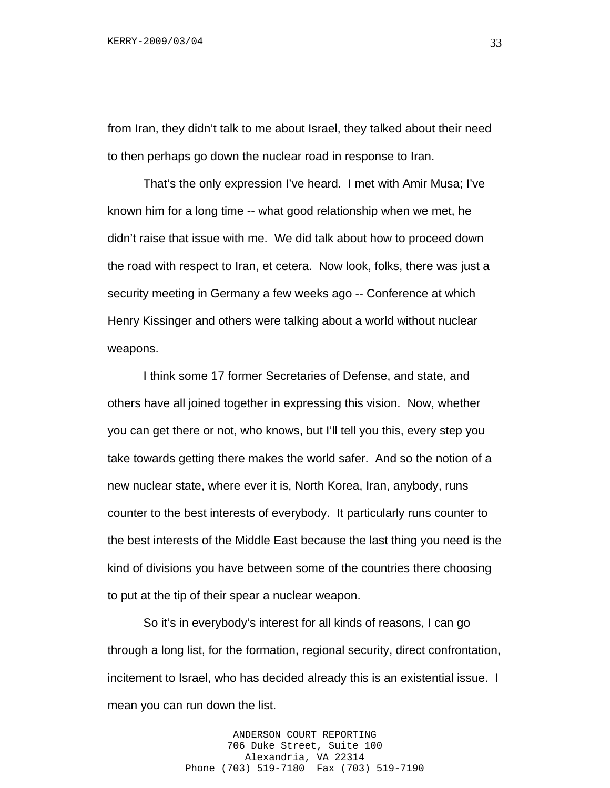from Iran, they didn't talk to me about Israel, they talked about their need to then perhaps go down the nuclear road in response to Iran.

That's the only expression I've heard. I met with Amir Musa; I've known him for a long time -- what good relationship when we met, he didn't raise that issue with me. We did talk about how to proceed down the road with respect to Iran, et cetera. Now look, folks, there was just a security meeting in Germany a few weeks ago -- Conference at which Henry Kissinger and others were talking about a world without nuclear weapons.

I think some 17 former Secretaries of Defense, and state, and others have all joined together in expressing this vision. Now, whether you can get there or not, who knows, but I'll tell you this, every step you take towards getting there makes the world safer. And so the notion of a new nuclear state, where ever it is, North Korea, Iran, anybody, runs counter to the best interests of everybody. It particularly runs counter to the best interests of the Middle East because the last thing you need is the kind of divisions you have between some of the countries there choosing to put at the tip of their spear a nuclear weapon.

So it's in everybody's interest for all kinds of reasons, I can go through a long list, for the formation, regional security, direct confrontation, incitement to Israel, who has decided already this is an existential issue. I mean you can run down the list.

> ANDERSON COURT REPORTING 706 Duke Street, Suite 100 Alexandria, VA 22314 Phone (703) 519-7180 Fax (703) 519-7190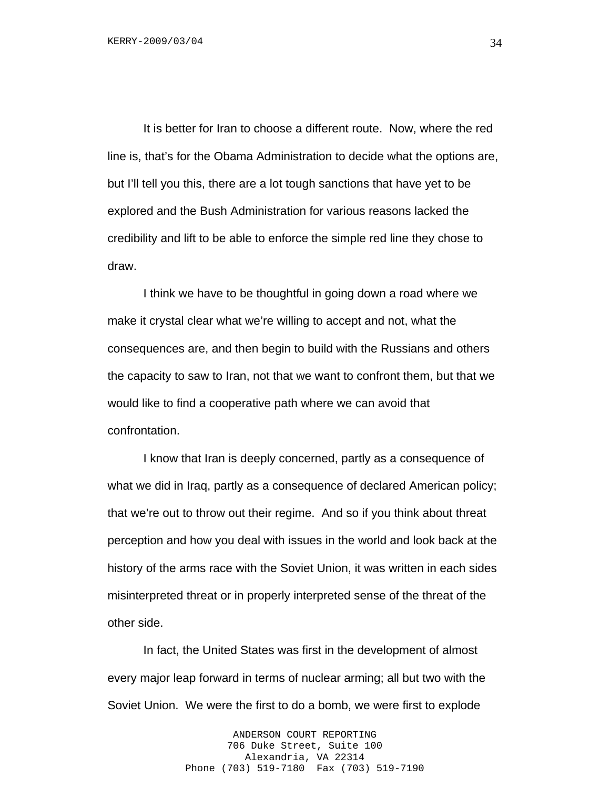It is better for Iran to choose a different route. Now, where the red line is, that's for the Obama Administration to decide what the options are, but I'll tell you this, there are a lot tough sanctions that have yet to be explored and the Bush Administration for various reasons lacked the credibility and lift to be able to enforce the simple red line they chose to draw.

I think we have to be thoughtful in going down a road where we make it crystal clear what we're willing to accept and not, what the consequences are, and then begin to build with the Russians and others the capacity to saw to Iran, not that we want to confront them, but that we would like to find a cooperative path where we can avoid that confrontation.

I know that Iran is deeply concerned, partly as a consequence of what we did in Iraq, partly as a consequence of declared American policy; that we're out to throw out their regime. And so if you think about threat perception and how you deal with issues in the world and look back at the history of the arms race with the Soviet Union, it was written in each sides misinterpreted threat or in properly interpreted sense of the threat of the other side.

In fact, the United States was first in the development of almost every major leap forward in terms of nuclear arming; all but two with the Soviet Union. We were the first to do a bomb, we were first to explode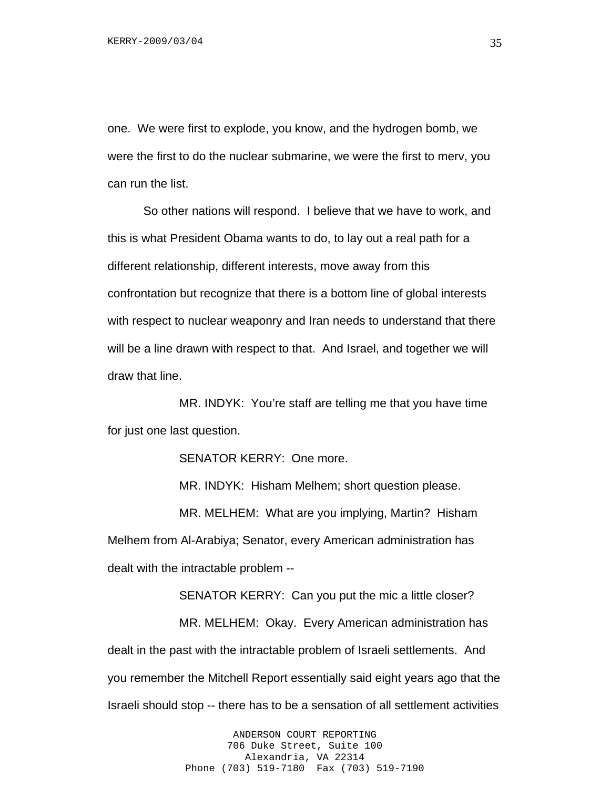one. We were first to explode, you know, and the hydrogen bomb, we were the first to do the nuclear submarine, we were the first to merv, you can run the list.

So other nations will respond. I believe that we have to work, and this is what President Obama wants to do, to lay out a real path for a different relationship, different interests, move away from this confrontation but recognize that there is a bottom line of global interests with respect to nuclear weaponry and Iran needs to understand that there will be a line drawn with respect to that. And Israel, and together we will draw that line.

 MR. INDYK: You're staff are telling me that you have time for just one last question.

SENATOR KERRY: One more.

MR. INDYK: Hisham Melhem; short question please.

 MR. MELHEM: What are you implying, Martin? Hisham Melhem from Al-Arabiya; Senator, every American administration has dealt with the intractable problem --

 SENATOR KERRY: Can you put the mic a little closer? MR. MELHEM: Okay. Every American administration has dealt in the past with the intractable problem of Israeli settlements. And you remember the Mitchell Report essentially said eight years ago that the Israeli should stop -- there has to be a sensation of all settlement activities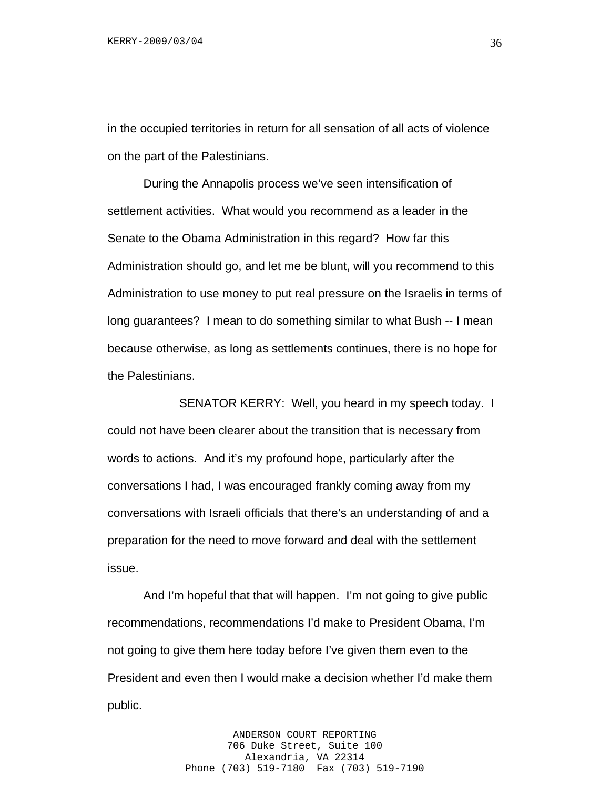in the occupied territories in return for all sensation of all acts of violence on the part of the Palestinians.

During the Annapolis process we've seen intensification of settlement activities. What would you recommend as a leader in the Senate to the Obama Administration in this regard? How far this Administration should go, and let me be blunt, will you recommend to this Administration to use money to put real pressure on the Israelis in terms of long guarantees? I mean to do something similar to what Bush -- I mean because otherwise, as long as settlements continues, there is no hope for the Palestinians.

 SENATOR KERRY: Well, you heard in my speech today. I could not have been clearer about the transition that is necessary from words to actions. And it's my profound hope, particularly after the conversations I had, I was encouraged frankly coming away from my conversations with Israeli officials that there's an understanding of and a preparation for the need to move forward and deal with the settlement issue.

And I'm hopeful that that will happen. I'm not going to give public recommendations, recommendations I'd make to President Obama, I'm not going to give them here today before I've given them even to the President and even then I would make a decision whether I'd make them public.

> ANDERSON COURT REPORTING 706 Duke Street, Suite 100 Alexandria, VA 22314 Phone (703) 519-7180 Fax (703) 519-7190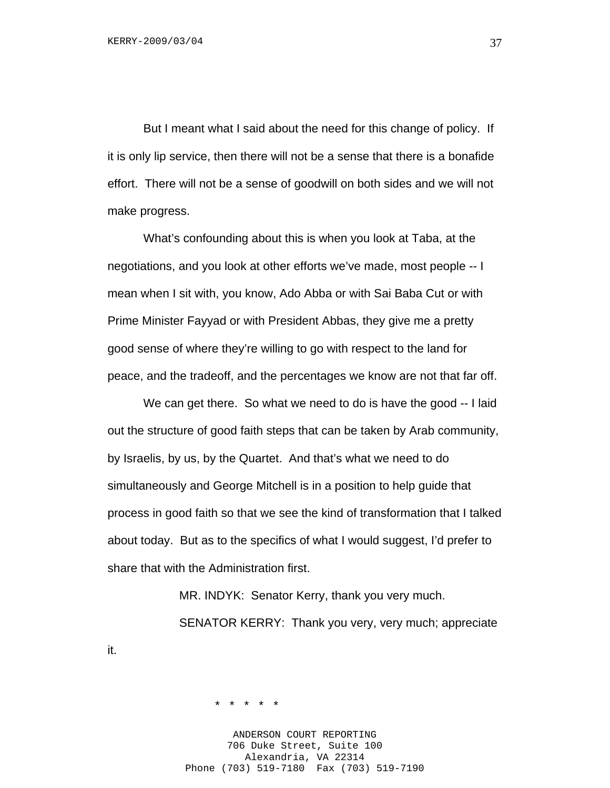But I meant what I said about the need for this change of policy. If it is only lip service, then there will not be a sense that there is a bonafide effort. There will not be a sense of goodwill on both sides and we will not make progress.

What's confounding about this is when you look at Taba, at the negotiations, and you look at other efforts we've made, most people -- I mean when I sit with, you know, Ado Abba or with Sai Baba Cut or with Prime Minister Fayyad or with President Abbas, they give me a pretty good sense of where they're willing to go with respect to the land for peace, and the tradeoff, and the percentages we know are not that far off.

We can get there. So what we need to do is have the good -- I laid out the structure of good faith steps that can be taken by Arab community, by Israelis, by us, by the Quartet. And that's what we need to do simultaneously and George Mitchell is in a position to help guide that process in good faith so that we see the kind of transformation that I talked about today. But as to the specifics of what I would suggest, I'd prefer to share that with the Administration first.

> MR. INDYK: Senator Kerry, thank you very much. SENATOR KERRY: Thank you very, very much; appreciate

> > \* \* \* \* \*

it.